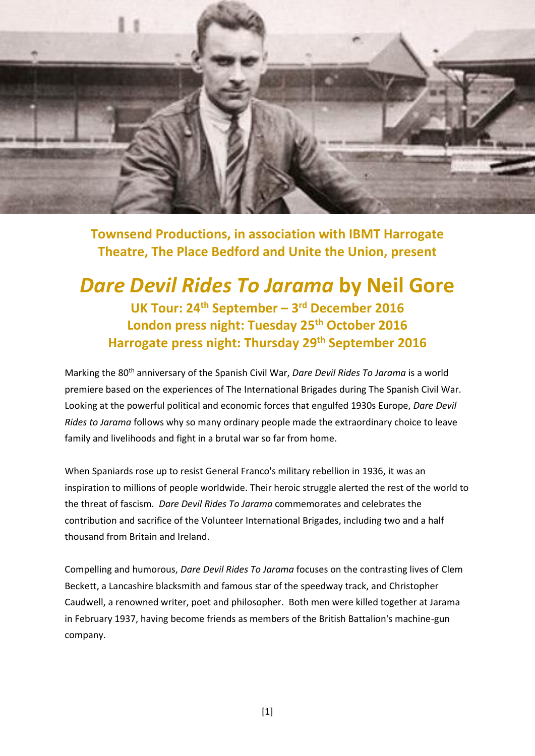

**Townsend Productions, in association with IBMT Harrogate Theatre, The Place Bedford and Unite the Union, present**

## *Dare Devil Rides To Jarama* **by Neil Gore UK Tour: 24th September – 3 rd December 2016 London press night: Tuesday 25th October 2016 Harrogate press night: Thursday 29th September 2016**

Marking the 80th anniversary of the Spanish Civil War, *Dare Devil Rides To Jarama* is a world premiere based on the experiences of The International Brigades during The Spanish Civil War. Looking at the powerful political and economic forces that engulfed 1930s Europe, *Dare Devil Rides to Jarama* follows why so many ordinary people made the extraordinary choice to leave family and livelihoods and fight in a brutal war so far from home.

When Spaniards rose up to resist General Franco's military rebellion in 1936, it was an inspiration to millions of people worldwide. Their heroic struggle alerted the rest of the world to the threat of fascism. *Dare Devil Rides To Jarama* commemorates and celebrates the contribution and sacrifice of the Volunteer International Brigades, including two and a half thousand from Britain and Ireland.

Compelling and humorous, *Dare Devil Rides To Jarama* focuses on the contrasting lives of Clem Beckett, a Lancashire blacksmith and famous star of the speedway track, and Christopher Caudwell, a renowned writer, poet and philosopher. Both men were killed together at Jarama in February 1937, having become friends as members of the British Battalion's machine-gun company.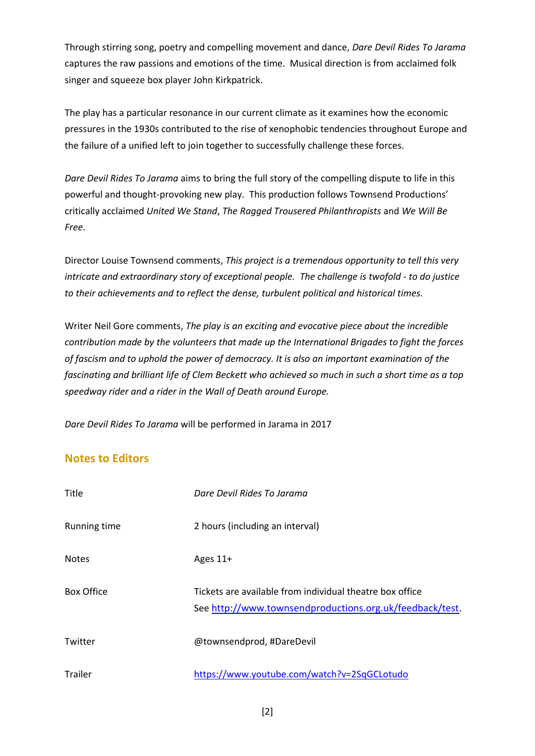Through stirring song, poetry and compelling movement and dance, *Dare Devil Rides To Jarama*  captures the raw passions and emotions of the time. Musical direction is from acclaimed folk singer and squeeze box player John Kirkpatrick.

The play has a particular resonance in our current climate as it examines how the economic pressures in the 1930s contributed to the rise of xenophobic tendencies throughout Europe and the failure of a unified left to join together to successfully challenge these forces.

*Dare Devil Rides To Jarama* aims to bring the full story of the compelling dispute to life in this powerful and thought-provoking new play. This production follows Townsend Productions' critically acclaimed *United We Stand*, *The Ragged Trousered Philanthropists* and *We Will Be Free*.

Director Louise Townsend comments, *This project is a tremendous opportunity to tell this very intricate and extraordinary story of exceptional people. The challenge is twofold - to do justice to their achievements and to reflect the dense, turbulent political and historical times.*

Writer Neil Gore comments, *The play is an exciting and evocative piece about the incredible contribution made by the volunteers that made up the International Brigades to fight the forces of fascism and to uphold the power of democracy. It is also an important examination of the fascinating and brilliant life of Clem Beckett who achieved so much in such a short time as a top speedway rider and a rider in the Wall of Death around Europe.* 

*Dare Devil Rides To Jarama* will be performed in Jarama in 2017

## **Notes to Editors**

| Title             | Dare Devil Rides To Jarama                                                                                           |
|-------------------|----------------------------------------------------------------------------------------------------------------------|
| Running time      | 2 hours (including an interval)                                                                                      |
| <b>Notes</b>      | Ages $11+$                                                                                                           |
| <b>Box Office</b> | Tickets are available from individual theatre box office<br>See http://www.townsendproductions.org.uk/feedback/test. |
| Twitter           | @townsendprod, #DareDevil                                                                                            |
| <b>Trailer</b>    | https://www.youtube.com/watch?v=2SqGCLotudo                                                                          |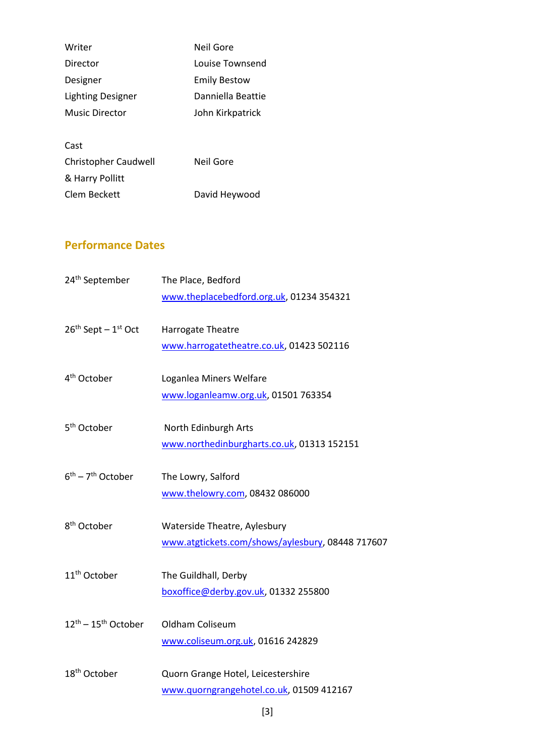| Writer                      | Neil Gore           |
|-----------------------------|---------------------|
| Director                    | Louise Townsend     |
| Designer                    | <b>Emily Bestow</b> |
| <b>Lighting Designer</b>    | Danniella Beattie   |
| Music Director              | John Kirkpatrick    |
|                             |                     |
| Cast                        |                     |
| <b>Christopher Caudwell</b> | Neil Gore           |
| & Harry Pollitt             |                     |

Clem Beckett David Heywood

## **Performance Dates**

| 24 <sup>th</sup> September                | The Place, Bedford<br>www.theplacebedford.org.uk, 01234 354321                   |
|-------------------------------------------|----------------------------------------------------------------------------------|
| $26th$ Sept - $1st$ Oct                   | Harrogate Theatre<br>www.harrogatetheatre.co.uk, 01423 502116                    |
| 4 <sup>th</sup> October                   | Loganlea Miners Welfare<br>www.loganleamw.org.uk, 01501 763354                   |
| 5 <sup>th</sup> October                   | North Edinburgh Arts<br>www.northedinburgharts.co.uk, 01313 152151               |
| $6^{th}$ – 7 <sup>th</sup> October        | The Lowry, Salford<br>www.thelowry.com, 08432 086000                             |
| 8 <sup>th</sup> October                   | Waterside Theatre, Aylesbury<br>www.atgtickets.com/shows/aylesbury, 08448 717607 |
| 11 <sup>th</sup> October                  | The Guildhall, Derby<br>boxoffice@derby.gov.uk, 01332 255800                     |
| $12^{\text{th}} - 15^{\text{th}}$ October | Oldham Coliseum<br>www.coliseum.org.uk, 01616 242829                             |
| 18 <sup>th</sup> October                  | Quorn Grange Hotel, Leicestershire<br>www.quorngrangehotel.co.uk, 01509 412167   |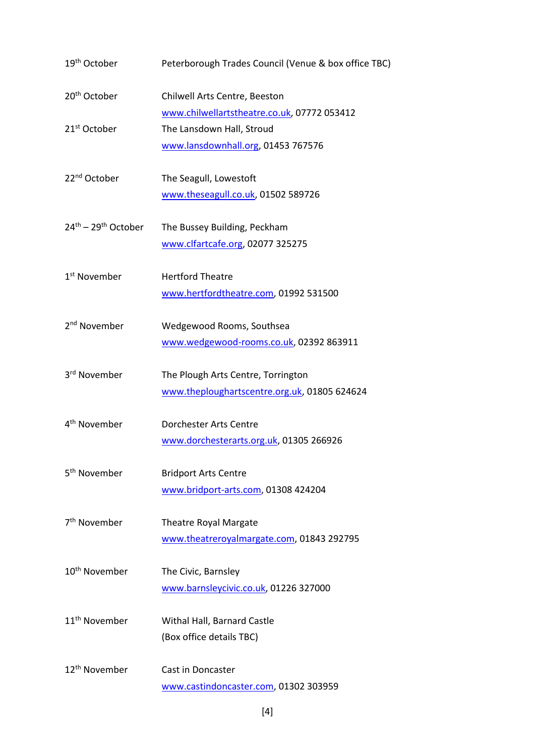| 19 <sup>th</sup> October                  | Peterborough Trades Council (Venue & box office TBC) |
|-------------------------------------------|------------------------------------------------------|
| 20 <sup>th</sup> October                  | Chilwell Arts Centre, Beeston                        |
|                                           | www.chilwellartstheatre.co.uk, 07772 053412          |
| 21 <sup>st</sup> October                  | The Lansdown Hall, Stroud                            |
|                                           | www.lansdownhall.org, 01453 767576                   |
|                                           |                                                      |
| 22 <sup>nd</sup> October                  | The Seagull, Lowestoft                               |
|                                           | www.theseagull.co.uk, 01502 589726                   |
| $24^{\text{th}} - 29^{\text{th}}$ October | The Bussey Building, Peckham                         |
|                                           | www.clfartcafe.org, 02077 325275                     |
|                                           |                                                      |
| 1 <sup>st</sup> November                  | <b>Hertford Theatre</b>                              |
|                                           | www.hertfordtheatre.com, 01992 531500                |
| 2 <sup>nd</sup> November                  |                                                      |
|                                           | Wedgewood Rooms, Southsea                            |
|                                           | www.wedgewood-rooms.co.uk, 02392 863911              |
| 3rd November                              | The Plough Arts Centre, Torrington                   |
|                                           | www.theploughartscentre.org.uk, 01805 624624         |
|                                           |                                                      |
| 4 <sup>th</sup> November                  | Dorchester Arts Centre                               |
|                                           | www.dorchesterarts.org.uk, 01305 266926              |
| 5 <sup>th</sup> November                  | <b>Bridport Arts Centre</b>                          |
|                                           | www.bridport-arts.com, 01308 424204                  |
|                                           |                                                      |
| 7 <sup>th</sup> November                  | <b>Theatre Royal Margate</b>                         |
|                                           | www.theatreroyalmargate.com, 01843 292795            |
| 10 <sup>th</sup> November                 | The Civic, Barnsley                                  |
|                                           |                                                      |
|                                           | www.barnsleycivic.co.uk, 01226 327000                |
| 11 <sup>th</sup> November                 | Withal Hall, Barnard Castle                          |
|                                           | (Box office details TBC)                             |
|                                           |                                                      |
| 12 <sup>th</sup> November                 | Cast in Doncaster                                    |
|                                           | www.castindoncaster.com, 01302 303959                |